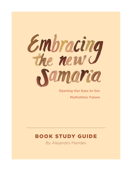

**Opening Our Eyes to Our Multiethnic Future**

# BOOK STUDY GUIDE

By Alejandro Mandes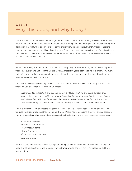## WEEK 1 Why this book, and why today?

Thank you for taking the time to gather together and discuss my book, *Embracing the New Samaria*. My hope is that over the next five weeks, this study guide will help lead you through a self-reflection and group discussion that will further open your eyes to the church's multiethnic future. I want Christian leaders to learn to *see, love, reach,* and ultimately *be* the New Samaria in a way that brings true transformation to our churches and communities. Please read this excerpt from the book's introduction as a refresher on why I wrote the book and who it is for.

"Martin Luther King Jr. had a dream—one that he so eloquently delivered on August 28, 1963: a hope for freedom, equality, and justice in the United States. Almost sixty years later, I also have a dream—my *sueño* that I will spend my life's work trying to achieve. My *sueño* is to someday see all people living together in unity here on earth as it is in heaven.

Two biblical passages ground my dream in prophetic reality. One is the vision of all people around the throne of God described in Revelation 7. It reads:

*After these things I looked, and behold, a great multitude which no one could number, of all nations, tribes, peoples, and tongues, standing before the throne and before the Lamb, clothed*  with white robes, with palm branches in their hands, and crying out with a loud voice, saying, *"Salvation belongs to our God who sits on the throne, and to the Lamb!"* Revelation 7:9-10

This is a prophetic view of what the Kingdom of God will be like—with all nations, tribes, peoples, and tongues worshiping God together around his throne. What a heavenly vision! The other biblical passage that grips me is from Matthew 6, when Jesus teaches his disciples how to pray. He gave us these words:

*Our Father in heaven, Hallowed be Your name. Your kingdom come. Your will be done On earth as it is in heaven.* 

#### Matthew 6:9-10

When we pray those words, we are asking God to help us live out his heavenly vision now— alongside people of all nations, tribes, and tongues—not just when we die and join him in his presence, but here on earth, today.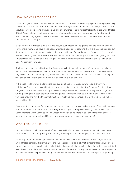#### How We've Missed the Mark

Disappointingly, some of our churches and ministries do not reflect the earthly prayer that God prophetically laid out for us in the Scriptures. When we envision "making disciples" in our local contexts, we tend to think about reaching people who are just like us, and our churches tend to reflect that reality. In the United States, 86% of Protestant congregations are made up of one predominant racial group, making Sunday mornings one of the most segregated times of the week. Even more telling is that 53% of churchgoers think their church is diverse enough.<sup>1</sup>

It is painfully obvious that we have failed to see, love, and reach our neighbors who are different than us. Furthermore, many of us have made peace with tepid obedience, believing that this is as good as it can get. Some of us compensate for such saltless obedience with manufactured panache, "excellence," bling, and beautiful branding, but the fact remains that a mediocre approach to disciple making is not getting us to the Kingdom vision of Revelation 7. It is killing us. We miss the true transformation that awaits us. Let God be God! We can't out wow God!

Brothers and sister. I do not believe that God called us to do something that can't be done. I do believe we can have heaven on earth. I am not speaking of a future dispensation. My hope and dream is that we fully realize the Lord's visionary prayer now. What we see now in the form of national, ethnic and immigrant tensions do not have to define our future. It doesn't have to be that way.

In this book I will have fun exploring the fictitious life of Ebenezer Scrooge who lived a dreary life of selfishness. Three ghosts assist him to see how he has lived a wasted life of selfishness. The final ghost, the ghost of Christmas future ends by showing Scrooge the results of his selfish lonely life. Scrooge now fulling grasping the missed opportunity of doing good to his fellow man asks the third ghost if the things that were shown to him the things that must be or might be if unrepented. That is where Scrooge wakes up from his night.

Dear ones, it is not too late for us to live transformed lives. I call for us to walk the walk of God with our eyes wide open. Mankind is our business! The Holy Spirit will give us the power. May my call to the GC3 (Great Commandment, Great Commission and Great Community) be as effective as Ebenezer's three spirits in rousing us to see that we should life every day doing good to all mankind! Maranatha!

#### Who This Book Is For

I wrote this book to help my evangelical<sup>2</sup> family—specifically those who are part of the majority culture—to transcend the status quo by loving and reaching their neighbors in the margins, as God has called us to do.

Some might read the term majority culture and wonder why I'm not just using the term white, since in the United States generally this is true. But I grew up in Laredo, Texas, a city that is majority Hispanic, so even though I am an ethnic minority in the United States, I grew up in the majority culture for my local context. And even there, in a border town that exists in the margins of American society, I've witnessed vulnerable people of various ethnicities experiencing marginalization at the hands of their own ethnic groups. So depending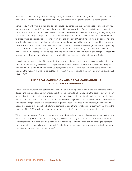on where you live, the majority culture may or may not be white—but one thing is for sure: our sinful natures make us all capable of judging people unworthy, and excluding or ignoring them as a consequence.

Some of you may have picked up this book because you sense that the church needs to change, but you are unsure where to start. Others may already be taking steps outside of your comfort zone but want to know how to take it to the next level. Then, of course, some readers may be further along in the journey and interested in hearing a new perspective. I am incredibly grateful for the Christians who have worked hard to embody biblical justice, racial reconciliation, and the diversity of God's Kingdom here on earth. They are wonderful examples for us all—but there is never an end point. We all have work to do, and the purpose of this book is to be a brotherly prophetic call for us all to open our eyes, acknowledge the divine opportunity that is in front of us, and start taking steps toward the dream. I hope that my perspective as a bicultural (Mexican and American) person who has lived and worked in both majority-culture and marginal spaces will help guide us through the challenges and opportunities we face as a multiethnic body of Christ.

How did we get to the point of ignoring disciple making in the margins? I believe some of us have been so focused on either the great commission (spreading the Good News to the ends of the earth) or the great commandment (loving your neighbor as yourself) that we have failed to see the inextricable connection between the two, which when lived out together result in a great transformed community of believers. I call this the GC3:

#### **THE GREAT COMMISSION AND GREAT COMMANDMENT BUILD GREAT COMMUNITY**

Many Christian churches and parachurches have given more emphasis to either the love mandate or the disciple-making mandate, so that energy spent on one seems to take away from the other. Few have been good at holding both in a healthy tension. You can find lots of books on disciple making and church planting, and you can find lots of books on justice and compassion, but you won't find many books that systematically and intentionally join those two great themes together. These four ideas are connected, however: Love/ justice and disciple making/church planting combine to bring transformation in our communities. This is the essence of the GC3, which I will share more about in chapter 7 and refer to throughout the book.

When I see the ministry of Jesus, I see people being discipled and matters of compassion and justice being addressed fluidly. I don't see Jesus wearing his justice hat one day and his disciplemaker hat the next. I see transformation at all levels. If we want a great community—a transformed church helping to transform the surrounding community who are not yet Christ followers—we must commit ourselves to both the great commission and the great commandment."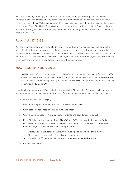Even as I am writing this study guide, hundreds of thousands of people are being flown from other countries to the United States. These people, who have been friends of America, are soon to become Americans alongside us. While some consider this is a coincidence, I considerate this movement of people to be a work of God. The United States is nearing a tipping point in our demographic shift, where there will no longer be a majority culture. The evangelical church must be ready to adapt. God has a purpose—for all people to know Him.

#### Read Acts 17:16-33

We read what happened when Paul walked through Athens, through the marketplace, and through the Acropolis where business was conducted. Paul observed the people and did some street evangelism. While at work he invited the philosophers to have a more private conversation without all the distractions of the people. The conversation the next day was a few yards away at the Areopagus, also know as Mars Hill. It is a rough and uneven hill, a good place to get away from the crowds.

#### Now focus on Acts 17:26-27:

*"And He has made from one blood every nation of men to dwell on all the face of the earth, and has determined their preappointed times and the boundaries of their dwellings, so that they should seek*  the Lord, in the hope that they might grope for Him and find Him, though He is not far from each one *of us."* Acts 17:26-27 (NKJV)

I stood on the very spot where Paul spoke these words in the Athens at the Areopagus. In those days he was surrounded by philosophers within plan view of the famous Acropolis, known for its many columns.

Discuss as a group what Paul is saying:

- 1. What does the phrase "one blood" mean? Why is that relevant?
- 2. What does "preappointed times and boundaries" mean?
- 3. What is God's purpose for moving people over times and boundaries? (verse 27)
- 4. Many Christians believe that the "Rule of Law" (Roman's 13) is the standard; however, God (and God alone) has always had the last word on all human laws. I do not believe in "open borders"; nevertheless, God still can do as He has preappointed.
	- Dialogue about this conundrum. How have God's people navigated this in past times?
	- This is a deep dive question. There is not a clear answer.
	- Consider the EFCA's work with Immigrant Hope www.immigranthope.org
- 5. Can we believe both?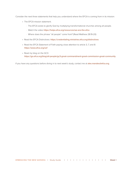Consider the next three statements that help you understand where the EFCA is coming from in its mission:

- The EFCA mission statement.
	- ∙ The EFCA exists to glorify God by multiplying transformational churches among all people.
	- ∙ Watch the video https://helps.efca.org/resources/we-are-the-efca
	- ∙ Where does the phrase "all people" come from? (Read Matthew 28:19-20)
- Read the EFCA Distinctives: https://credentialing.ministries.efca.org/distinctives
- Read the EFCA Statement of Faith paying close attention to article 3, 7, and 8: https://www.efca.org/sof
- Read my blog on the GC3: https://go.efca.org/blog/all-people/gc3-great-commandment-great-commission-great-community

If you have any questions before diving in to next week's study, contact me at alex.mandes@efca.org.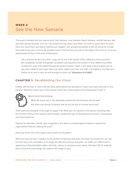## WEEK 2 See the New Samaria

This book is divided into four logical parts: See Samaria, Love Samaria, Reach Samaria, and Be Samaria. We start with seeing because once we see people the way Jesus sees them, we want to reach them for Jesus. Once we reach them, just about anything can happen—the greatest possibility is that we would be a body that seeks to be one in Christ. My greatest hope is that we live out unity as the body of the Church, as we are admonished by Paul in the book of Ephesians.

*"As a prisoner for the Lord, then, I urge you to live a life worthy of the calling you have received. Be completely humble and gentle; be patient, bearing with one another in love. Make every effort*  to keep the unity of the Spirit through the bond of peace. There is one body and one Spirit, just as *you were called to one hope when you were called; one Lord, one faith, one baptism; one God and Father of all, who is over all and through all and in all."* Ephesians 4:1-6 (NIV)

#### **CHAPTER 1: Recalibrating Our Vision**

It starts with the eye. In John 4:35-36 Jesus admonished the disciples to "open your eyes and look on the harvest." Read the whole story of the woman at the well, which begins at the beginning of John 4.



Spend some time thinking:

What did Jesus see in the Samaritan woman that the disciples did not see? Are there any groups of people that we do not see or choose not to see?

Think about the example of Scrooge on page 17-18. What was his reaction to the person soliciting help for the poor? Discuss the reasons why Scrooge reacted the way he did (political, economic, sociological, and inconvenience).

Explore his rationales. Stretch your imagination. Are there no mission/governmental or parachurch organizations that are helping the poor?

Does any of the rest of Scrooge's story evoke any thoughts?

While we may not have a solution to the problem of poverty, that does not mean we should turn our eye from the poor and vulnerable, as Scrooge did. We still must see everyone, no matter our differences in appearance, documentation status, ethnicity, culture, or socioeconomic status. Genesis 1:26-27 explicitly tells us that all human beings are made in the image of God.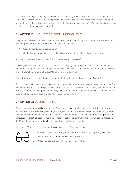There were theological, sociological, and cultural reasons why the disciples couldn't see the Samaritans the same way Jesus saw them. The Jewish people and Samaritans had a long history that caused them to hate one another. So what did Jesus mean when He said, "Open your eyes and see?" What did the disciples have to unlearn in order to make this happen?

### **CHAPTER 2:** The Demographic Tipping Point

Chapter two chronicles the undeniable demographic changes happening in the United States. Before the next group meeting, spend thirty minutes looking at two things:

- 1. Google "Demographic tipping point"
- 2. On the internet look up the ethnic diversity of several of the public schools around you.

Share with the rest of the group your findings. Are there any surprises?

How do you feel when you hear statistics about the changing demographics of our country? What are your honest thoughts about immigrants and the diversity of cultures and languages around you? Have you allowed God's heart toward "strangers" to penetrate your own heart?

Think about your church and those in your area. Do their demographics match your findings?

This is an exploration exercise to make sure we aware of the demographic makeup of our communities. Pay attention to all markers, not simply race or ethnicity. Some areas have little color diversity, but there might be diversity of another kind (e.g., socioeconomic). Ask yourself the question, "Are we reaching our community?" It starts with opening our eyes and seeing who is in our community.

#### **CHAPTER 3:** Justice Revival

What do we do if we don't like what we see? Some of you may be pleasantly surprised. All is not wrong in our churches. Some are doing great things. But if your community is very mono-cultural, stuff the righteous indignation. We are not looking for finger pointers. James 1:20 reads, "…human anger does not produce the righteousness that God desires." We are not here to judge. The Lord will judge His own people (Hebrews 10:30). We do not need revolution by man. What we need is a justice revival.

Read Isaiah 58 in its entirety. Identify who is making each of the statements.



- 1. What are people complaining to God about? What are they expecting Him to do?
- 2. What does God ask them to do instead? Why?
- 3. What does God promise if they do as He commands?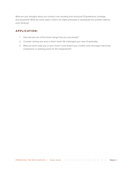What are your thoughts about our country's sins resulting from structural P3 (preference, privilege, and prejudice)? What are some ways in which we might participate or perpetuate this problem without even thinking?

- 1. How will part one of this book change how you see people?
- 2. Consider sharing one area in which Isaiah 58 challenged your view of spirituality.
- 3. What are some ways you or your church could stretch your comfort zone and begin exercising compassion or seeking justice for the marginalized?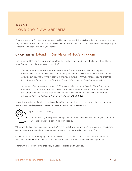### WEEK 3 Love the New Samaria

Once we see what God sees, and we see how He loves the world, there is hope that we can love the same way He loves. What did you think about the story of Shoreline Community Church shared at the beginning of chapter 4? Did it stir anything in your heart?

#### **CHAPTER 4:** Extending Our Vision of God's Kingdom

The Father and the Son are always working together, and we, too, need to join the Father where He is at work. Consider the following passage in John 5:

*"So, because Jesus was doing these things on the Sabbath, the Jewish leaders began to persecute him. In his defense Jesus said to them, 'My Father is always at his work to this very day,*  and I too am working.' For this reason they tried all the more to kill him; not only was he breaking *the Sabbath, but he was even calling God his own Father, making himself equal with God.*

*Jesus gave them this answer: 'Very truly I tell you, the Son can do nothing by himself; he can do only what he sees his Father doing, because whatever the Father does the Son also does. For the Father loves the Son and shows him all he does. Yes, and he will show him even greater works than these, so that you will be amazed.'"* John 5:16-20 (NIV)

Jesus stayed with the disciples in the Samaritan village for two days in order to teach them an important lesson about the deep-seated biases that were impeding their missional vision.



Spend some time thinking:

Were there any ideas passed along in your family that have caused you to (consciously or unconsciously) avoid certain kinds of people?

When was the last time you asked yourself, Where is God at work around me? Have you ever considered our demographic shift and the movement of people around the world as being from God?

Consider the discussion on page 78-79 about contact hypothesis. Look up some stories in the Bible describing moments when Jesus was in contact with Gentiles. Why are those stories important?

Share with the group your favorite story of Jesus interacting with Gentiles.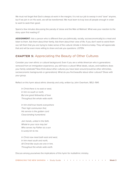We must not forget that God is always at work in the margins. It is not our job to swoop in and "save" anyone, but if we join in on His work, we will be transformed. We must learn to truly love all people enough in order to want to seek their good.

Spend a few minutes discussing the parody of Jesse and the Man at Walmart. What was your reaction to the story upon first reading it?

ASSIGNMENT: Ask a person who is different than you (ethnically, racially, socioeconomically) to a meal and listen to them. Ask them about their family. Ask them about their view of life. If you don't want to weird them out, tell them that you are trying to make sense of the cultural climate in America today. They will appreciate that and will be even more willing to share and ask you questions. LISTEN.

#### **CHAPTER 5:** Appreciating the Beauty of Other Cultures

Consider your own ethnic or cultural background. Even if you are a white American who is generations removed from an immigration experience, you still have a culture! What ideals, values, and traditions does your family celebrate? Now think about other cultures you have been around (could be other ethnicities, socioeconomic backgrounds or generations). What do you find beautiful about other cultures? Share with your group.

Reflect on this hymn about ethnic diversity and unity, written by John Oxenham, 1852–1941.

*In Christ there is no east or west, In him no south or north, But one great fellowship of love Throughout the whole wide earth.*

*In him shall true hearts everywhere Their high communion find, His service is the golden cord Close-binding humankind.*

*Join hands, united in the faith, Whate'er your race may be! Who serves my Father as a son Is surely kin to me.*

*In Christ now meet both east and west, In him meet south and north, All Christ-like souls are one in him, Throughout the whole wide earth.*

Discuss among yourselves the implications of this hymn for multiethnic ministry.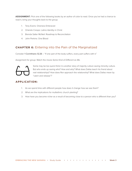**ASSIGNMENT:** Pick one of the following books by an author of color to read. Once you've had a chance to read it, bring your thoughts back to the group.

- 1. Tony Evens: Oneness Embraced
- 2. Orlando Crespo: Latino Identity in Christ
- 3. Brenda Salter McNeil: Roadmap to Reconciliation
- 4. John Perkins: One Blood

#### **CHAPTER 6:** Entering into the Pain of the Marginalized

Consider 1 Corinthians 12:26 – "If one part of the body suffers, every part suffers with it."

Assignment for group: Watch the movie *Same Kind of Different as Me.*



Some may be too quick think it is another story of majority culture saving minority culture. But who ends up saving who? How and why? What does Dallas teach his friend about real relationships? How does Ron approach the relationship? What does Dallas mean by "catch and release"?

- 1. As we spend time with different people how does it change how we see them?
- 2. What are the implications for multiethnic church planting?
- 3. How have you become richer as a result of becoming close to a person who is different than you?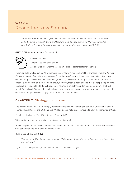### WEEK 4 Reach the New Samaria

*"Therefore, go and make disciples of all nations, baptizing them in the name of the Father and of the Son and of the Holy Spirit, and teaching them to obey everything I have commanded you. And surely, I am with you always, to the very end of the age." Matthew 28:19-20*

**QUESTION:** What is the Great Commission?



A. Make Disciples

B. Make Disciples of all people

C. Make Disciples with the three participles of going/baptizing/teaching

I won't quibble or play games. All of them are true. Answer A has the benefit of branding simplicity. Answer C has the benefit of completeness. Answer B has the benefit of guarding us against making it just about our own people. Some people have challenged me by saying that "all people" is understood, therefore doesn't even need to be stated. I would argue, however, that we need to keep the "all people" top of mind, especially if we seek to intentionally reach our neighbors amidst this undeniable demographic shift. "All people" as in Isaiah 58: "people stuck in bonds of wickedness, people stuck under heavy burdens, people oppressed, people who are hungry, the poor and cast out, the naked."

### **CHAPTER 7:** Strategy Transformation

The mission of the EFCA is "to multiply transformational churches among all people. Our mission is to see changed lives! Discuss the GC3 on page 114. How does it hold us accountable to all of the mandates of God?

If it fair to talk about a "Great Transformed Community?"

What kind of adaptations would this requires of our leaders?

How have you approached the Great Commission and the Great Commandment in your faith journey? Have you leaned into one more than the other? Why?

#### Read 2 Corinthians 2:15 (NIV):

*"For we are to God the pleasing aroma of Christ among those who are being saved and those who are perishing."*

If your church disappeared, would anyone in the community miss you?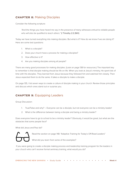#### **CHAPTER 8:** Making Disciples

Consider the following scripture:

*"And the things you have heard me say in the presence of many witnesses entrust to reliable people who will also be qualified to teach others."* 2 Timothy 2:2 (NIV)

Today we have turned everything into making disciples. But what is it? How do we know if we are doing it? Here are some test questions:

- 1. What is a disciple?
- 2. Does your church have a process for making a disciples?
- 3. How effective is it?
- 4. Are you making disciples among all people?

There are many good processes for making disciples. (Look on page 138 for resources.) The important key to remember is that disciple making should be life on life. When you look at Jesus's ministry, He spent lots of time with His disciples. They learned from Jesus because they followed him and watched him closely. Then Jesus expected them to do the same. It takes a disciple to make a disciple.

On page 135, I list seven ways to create a culture of disciple making in your church. Review those principles and discuss which ones stand out or surprise you.

#### **CHAPTER 9:** Equipping Leaders

Group Discussion:

- 1. True/False and why? Everyone can be a disciple, but not everyone can be a ministry leader!
- 2. What is the difference between being a disciple and being a ministry leader?

Does everyone have to go to school to be a ministry leader? Obviously, it would be great, but what are the obstacles that some people face?

What did Jesus and Paul do?



Read the section on page 148: "Adaptive Training for Today's Off-Road Leaders"

What did you learn from some of the examples?

 If you were going to create a disciple making process and leadership training program for the leaders in your church who can't receive formal seminary training, what would you do?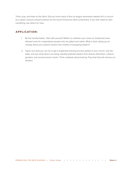Think, pray, and listen to the Spirit. Did you know many of the ivy league seminaries started off in a church by a pastor trying to prepare pastors for the future? Everyone starts somewhere. If you feel called to start something, ask others for help.

- 1. Be the transformation. Start with yourself. Reflect on whether your views on leadership have allowed room for marginalized people who are gifted and called. What is God calling you to change about your posture toward new models of equipping leaders?
- 2. Figure out what you can do to get a leadership training process started in your church. Use the bible, and see what others are doing. Identify potential leaders from diverse ethnicities, cultures, genders, and socioeconomic levels. Think creatively about training. Pray that God will remove our blinders.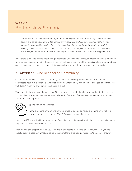### WEEK 5 Be the New Samaria

*"Therefore, if you have any encouragement from being united with Christ, if any comfort from his love, if any common sharing in the Spirit, if any tenderness and compassion, then make my joy complete by being like-minded, having the same love, being one in spirit and of one mind. Do nothing out of selfish ambition or vain conceit. Rather, in humility value others above yourselves, not looking to your own interests but each of you to the interests of the others."* Philippians 2:1-4

While there is much to admire about being obedient to God in seeing, loving, and reaching the New Samaria, we must also succeed at being the new Samaria. The focus in this part of the book is on how to be one body, one community of believers, that not only transforms lives but transforms the community around us.

#### **CHAPTER 10:** One Reconciled Community

On December 18, 1963, Dr. Martin Luther King, Jr. made his often-repeated statement that "the most segregated hour in this nation" is Sunday at 11:00 a.m. Unfortunately, not much has changed since then, but that doesn't mean we shouldn't try to change this fact.

Think back to the woman at the well story. After the woman brought the city to Jesus, they took Jesus and His disciples back to the city for two days of fellowship. Decades of centuries of hate came down in one afternoon. It can happen!



Spend some time thinking:

Why is creating unity among different types of people so hard? Is creating unity with likeminded people easier, or not? Why? Consider the opening verse.

Read page 162 about the Homogeneous Unit Principle. How did that philosophy help churches believe that they could be "separate and effective?"

After reading this chapter, what do you think it take to become a "Reconciled Community"? Do you feel hopeful that it is possible? What are some of the benefits to embracing differences? Share your answers.